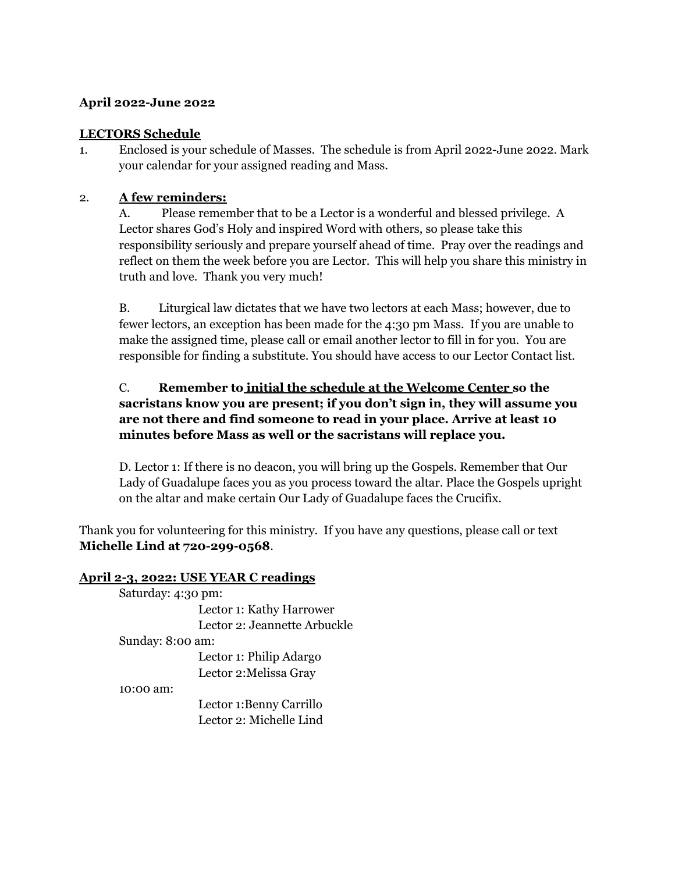## **April 2022-June 2022**

## **LECTORS Schedule**

1. Enclosed is your schedule of Masses. The schedule is from April 2022-June 2022. Mark your calendar for your assigned reading and Mass.

## 2. **A few reminders:**

A. Please remember that to be a Lector is a wonderful and blessed privilege. A Lector shares God's Holy and inspired Word with others, so please take this responsibility seriously and prepare yourself ahead of time. Pray over the readings and reflect on them the week before you are Lector. This will help you share this ministry in truth and love. Thank you very much!

B. Liturgical law dictates that we have two lectors at each Mass; however, due to fewer lectors, an exception has been made for the 4:30 pm Mass. If you are unable to make the assigned time, please call or email another lector to fill in for you. You are responsible for finding a substitute. You should have access to our Lector Contact list.

# C. **Remember to initial the schedule at the Welcome Center so the sacristans know you are present; if you don't sign in, they will assume you are not there and find someone to read in your place. Arrive at least 10 minutes before Mass as well or the sacristans will replace you.**

D. Lector 1: If there is no deacon, you will bring up the Gospels. Remember that Our Lady of Guadalupe faces you as you process toward the altar. Place the Gospels upright on the altar and make certain Our Lady of Guadalupe faces the Crucifix.

Thank you for volunteering for this ministry. If you have any questions, please call or text **Michelle Lind at 720-299-0568**.

#### **April 2-3, 2022: USE YEAR C readings**

| Saturday: 4:30 pm:           |
|------------------------------|
| Lector 1: Kathy Harrower     |
| Lector 2: Jeannette Arbuckle |
| Sunday: 8:00 am:             |
| Lector 1: Philip Adargo      |
| Lector 2: Melissa Gray       |
| 10:00 am:                    |
| Lector 1:Benny Carrillo      |
| Lector 2: Michelle Lind      |
|                              |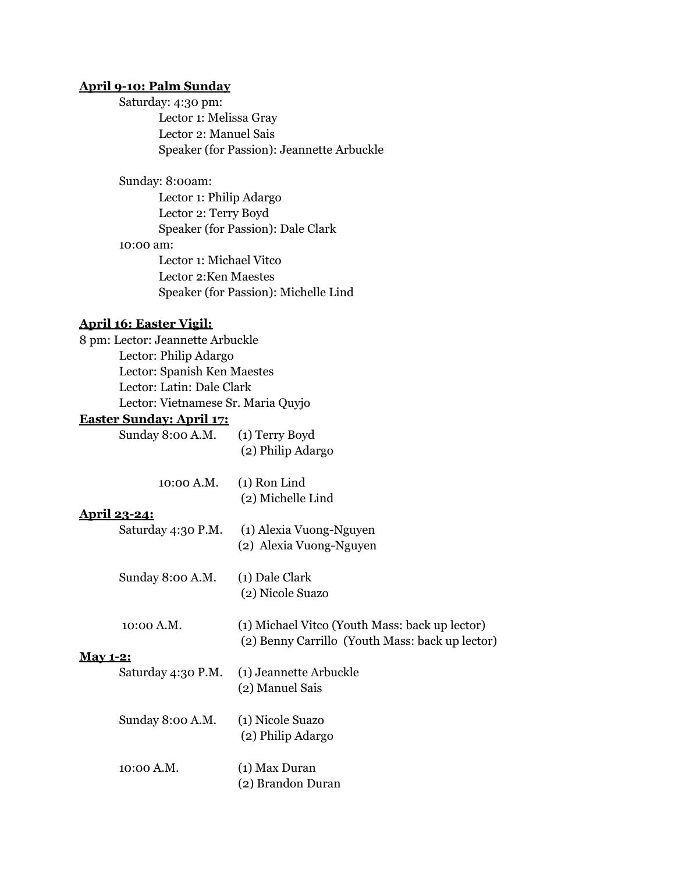## **April 9-10: Palm Sunday**

Saturday: 4:30 pm: Lector 1: Melissa Gray Lector 2: Manuel Sais Speaker (for Passion): Jeannette Arbuckle

Sunday: 8:00am:

Lector 1: Philip Adargo Lector 2: Terry Boyd Speaker (for Passion): Dale Clark 10:00 am: Lector 1: Michael Vitco Lector 2:Ken Maestes Speaker (for Passion): Michelle Lind

#### **April 16: Easter Vigil:**

8 pm: Lector: Jeannette Arbuckle Lector: Philip Adargo Lector: Spanish Ken Maestes Lector: Latin: Dale Clark Lector: Vietnamese Sr. Maria Quyjo

# **Easter Sunday: April 17:**

| Sunday 8:00 A.M. | (1) Terry Boyd    |
|------------------|-------------------|
|                  | (2) Philip Adargo |

| 10:00 A.M. | $(1)$ Ron Lind    |
|------------|-------------------|
|            | (2) Michelle Lind |

#### **April 23-24:**

| Saturday 4:30 P.M. | (1) Alexia Vuong-Nguyen |
|--------------------|-------------------------|
|                    | (2) Alexia Vuong-Nguyen |

| Sunday 8:00 A.M. | (1) Dale Clark   |
|------------------|------------------|
|                  | (2) Nicole Suazo |

| 10:00 A.M. | (1) Michael Vitco (Youth Mass: back up lector)  |
|------------|-------------------------------------------------|
|            | (2) Benny Carrillo (Youth Mass: back up lector) |

#### **May 1-2:**

|                  | Saturday 4:30 P.M. (1) Jeannette Arbuckle<br>(2) Manuel Sais |
|------------------|--------------------------------------------------------------|
| Sunday 8:00 A.M. | (1) Nicole Suazo<br>(2) Philip Adargo                        |
| 10:00 A.M.       | (1) Max Duran<br>(2) Brandon Duran                           |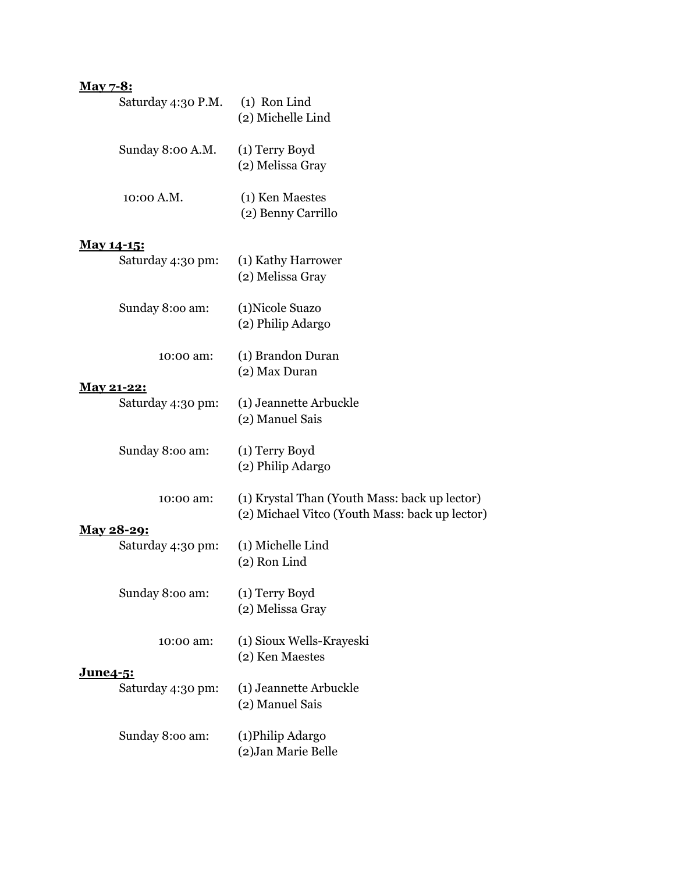# **May 7-8:**

| Saturday 4:30 P.M.                     | $(1)$ Ron Lind<br>(2) Michelle Lind                                                             |
|----------------------------------------|-------------------------------------------------------------------------------------------------|
| Sunday 8:00 A.M.                       | (1) Terry Boyd<br>(2) Melissa Gray                                                              |
| 10:00 A.M.                             | (1) Ken Maestes<br>(2) Benny Carrillo                                                           |
| May 14-15:<br>Saturday 4:30 pm:        | (1) Kathy Harrower<br>(2) Melissa Gray                                                          |
| Sunday 8:00 am:                        | (1) Nicole Suazo<br>(2) Philip Adargo                                                           |
| 10:00 am:                              | (1) Brandon Duran<br>(2) Max Duran                                                              |
| <u>May 21-22:</u><br>Saturday 4:30 pm: | (1) Jeannette Arbuckle<br>(2) Manuel Sais                                                       |
| Sunday 8:00 am:                        | (1) Terry Boyd<br>(2) Philip Adargo                                                             |
| 10:00 am:                              | (1) Krystal Than (Youth Mass: back up lector)<br>(2) Michael Vitco (Youth Mass: back up lector) |
| <u>May 28-29:</u><br>Saturday 4:30 pm: | (1) Michelle Lind<br>(2) Ron Lind                                                               |
| Sunday 8:00 am:                        | (1) Terry Boyd<br>(2) Melissa Gray                                                              |
| 10:00 am:                              | (1) Sioux Wells-Krayeski<br>(2) Ken Maestes                                                     |
| <u>June4-5:</u><br>Saturday 4:30 pm:   | (1) Jeannette Arbuckle<br>(2) Manuel Sais                                                       |
| Sunday 8:00 am:                        | (1) Philip Adargo<br>(2) Jan Marie Belle                                                        |